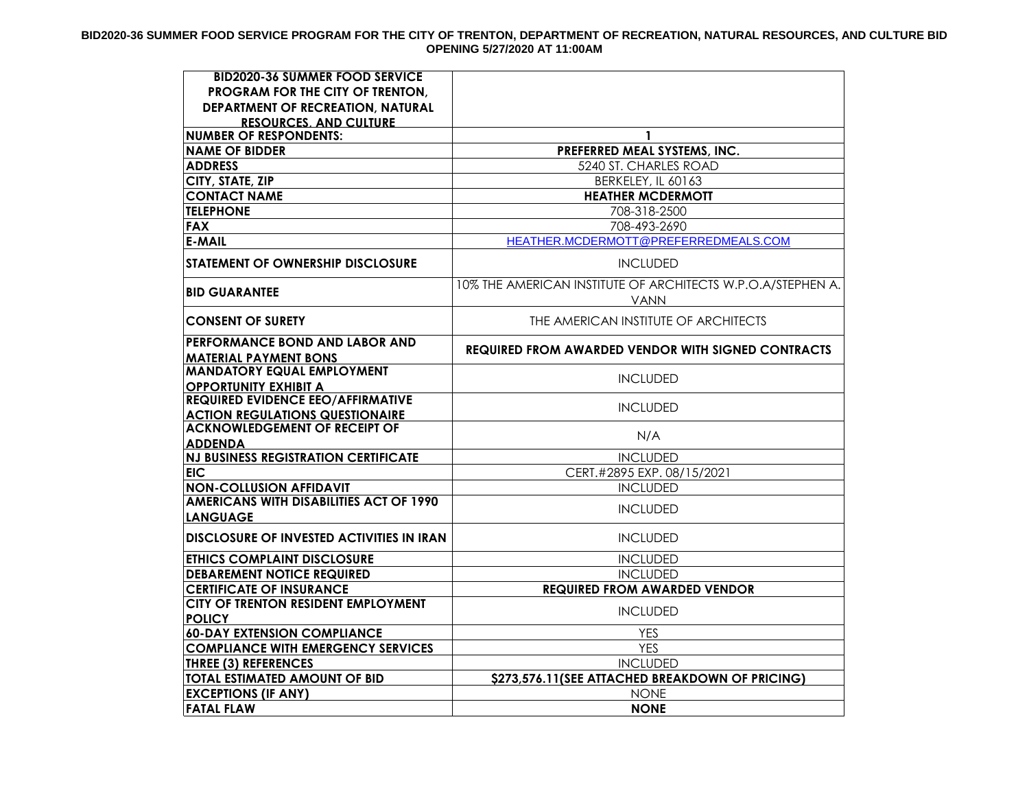## **BID2020-36 SUMMER FOOD SERVICE PROGRAM FOR THE CITY OF TRENTON, DEPARTMENT OF RECREATION, NATURAL RESOURCES, AND CULTURE BID OPENING 5/27/2020 AT 11:00AM**

| <b>BID2020-36 SUMMER FOOD SERVICE</b>                                              |                                                                            |
|------------------------------------------------------------------------------------|----------------------------------------------------------------------------|
| PROGRAM FOR THE CITY OF TRENTON,                                                   |                                                                            |
| DEPARTMENT OF RECREATION, NATURAL                                                  |                                                                            |
| <b>RESOURCES. AND CULTURE</b>                                                      |                                                                            |
| <b>NUMBER OF RESPONDENTS:</b>                                                      | $\mathbf{1}$                                                               |
| <b>NAME OF BIDDER</b>                                                              | PREFERRED MEAL SYSTEMS, INC.                                               |
| <b>ADDRESS</b>                                                                     | 5240 ST. CHARLES ROAD                                                      |
| CITY, STATE, ZIP                                                                   | BERKELEY, IL 60163                                                         |
| <b>CONTACT NAME</b>                                                                | <b>HEATHER MCDERMOTT</b>                                                   |
| <b>TELEPHONE</b>                                                                   | 708-318-2500                                                               |
| <b>FAX</b>                                                                         | 708-493-2690                                                               |
| <b>E-MAIL</b>                                                                      | HEATHER.MCDERMOTT@PREFERREDMEALS.COM                                       |
| <b>STATEMENT OF OWNERSHIP DISCLOSURE</b>                                           | <b>INCLUDED</b>                                                            |
| <b>BID GUARANTEE</b>                                                               | 10% THE AMERICAN INSTITUTE OF ARCHITECTS W.P.O.A/STEPHEN A.<br><b>VANN</b> |
| <b>CONSENT OF SURETY</b>                                                           | THE AMERICAN INSTITUTE OF ARCHITECTS                                       |
| PERFORMANCE BOND AND LABOR AND<br><b>MATERIAL PAYMENT BONS</b>                     | <b>REQUIRED FROM AWARDED VENDOR WITH SIGNED CONTRACTS</b>                  |
| <b>MANDATORY EQUAL EMPLOYMENT</b><br><b>OPPORTUNITY EXHIBIT A</b>                  | <b>INCLUDED</b>                                                            |
| <b>REQUIRED EVIDENCE EEO/AFFIRMATIVE</b><br><b>ACTION REGULATIONS QUESTIONAIRE</b> | <b>INCLUDED</b>                                                            |
| <b>ACKNOWLEDGEMENT OF RECEIPT OF</b><br><b>ADDENDA</b>                             | N/A                                                                        |
| <b>NJ BUSINESS REGISTRATION CERTIFICATE</b>                                        | <b>INCLUDED</b>                                                            |
| <b>EIC</b>                                                                         | CERT.#2895 EXP. 08/15/2021                                                 |
| <b>NON-COLLUSION AFFIDAVIT</b>                                                     | <b>INCLUDED</b>                                                            |
| <b>AMERICANS WITH DISABILITIES ACT OF 1990</b><br><b>LANGUAGE</b>                  | <b>INCLUDED</b>                                                            |
| <b>DISCLOSURE OF INVESTED ACTIVITIES IN IRAN</b>                                   | <b>INCLUDED</b>                                                            |
| <b>ETHICS COMPLAINT DISCLOSURE</b>                                                 | <b>INCLUDED</b>                                                            |
| <b>DEBAREMENT NOTICE REQUIRED</b>                                                  | <b>INCLUDED</b>                                                            |
| <b>CERTIFICATE OF INSURANCE</b>                                                    | <b>REQUIRED FROM AWARDED VENDOR</b>                                        |
| CITY OF TRENTON RESIDENT EMPLOYMENT                                                | <b>INCLUDED</b>                                                            |
| <b>POLICY</b>                                                                      |                                                                            |
| <b>60-DAY EXTENSION COMPLIANCE</b>                                                 | <b>YES</b>                                                                 |
| <b>COMPLIANCE WITH EMERGENCY SERVICES</b>                                          | <b>YES</b>                                                                 |
| <b>THREE (3) REFERENCES</b>                                                        | <b>INCLUDED</b>                                                            |
| <b>TOTAL ESTIMATED AMOUNT OF BID</b>                                               | \$273,576.11(SEE ATTACHED BREAKDOWN OF PRICING)                            |
| <b>EXCEPTIONS (IF ANY)</b>                                                         | <b>NONE</b>                                                                |
| <b>FATAL FLAW</b>                                                                  | <b>NONE</b>                                                                |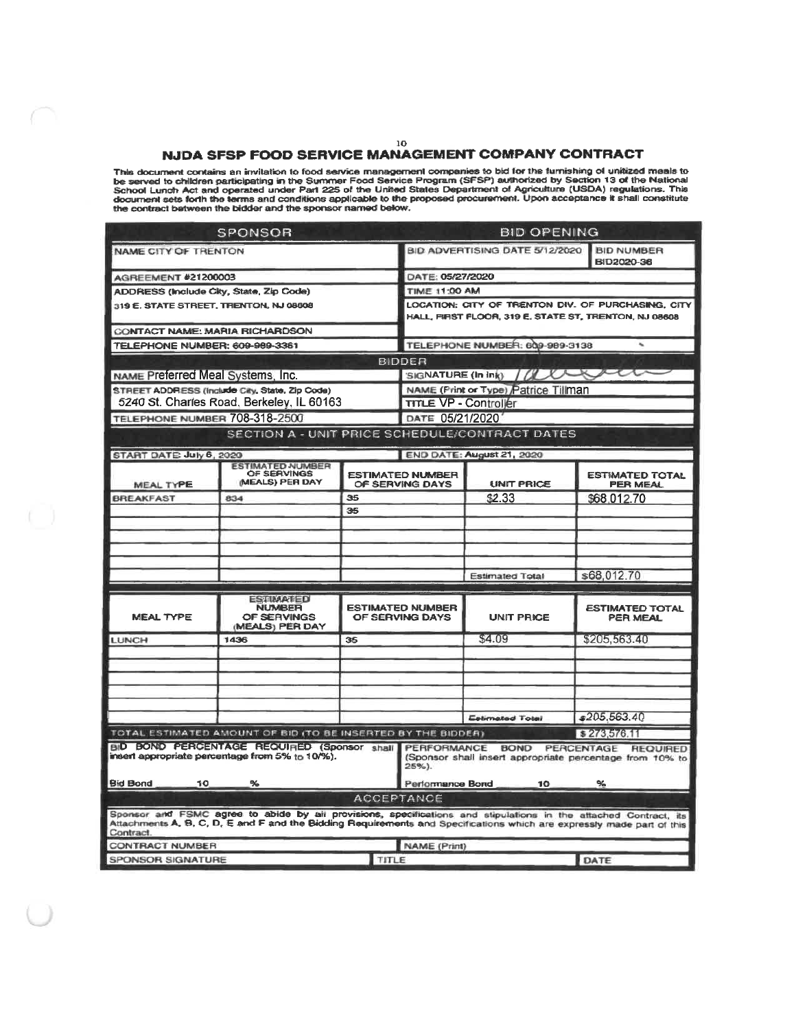# NJDA SFSP FOOD SERVICE MANAGEMENT COMPANY CONTRACT

This document contains an invitation to food service management companies to bid for the furnishing of unitized meals to<br>be served to children participating in the Summer Food Service Program (SFSP) authorized by Section 1

|                                         | SPONSOR                                                                                                                                                                                                                                   |    |                                                                   | <b>BID OPENING</b>                                                                                          |                                      |  |                                      |  |  |  |  |  |
|-----------------------------------------|-------------------------------------------------------------------------------------------------------------------------------------------------------------------------------------------------------------------------------------------|----|-------------------------------------------------------------------|-------------------------------------------------------------------------------------------------------------|--------------------------------------|--|--------------------------------------|--|--|--|--|--|
| NAME CITY OF TRENTON                    |                                                                                                                                                                                                                                           |    | BID ADVERTISING DATE 5/12/2020<br><b>BID NUMBER</b><br>BID2020-36 |                                                                                                             |                                      |  |                                      |  |  |  |  |  |
| AGREEMENT #21200003                     |                                                                                                                                                                                                                                           |    |                                                                   | DATE: 05/27/2020                                                                                            |                                      |  |                                      |  |  |  |  |  |
| ADDRESS (Include City, State, Zip Code) |                                                                                                                                                                                                                                           |    |                                                                   | <b>TIME 11:00 AM</b>                                                                                        |                                      |  |                                      |  |  |  |  |  |
| 319 E. STATE STREET, THENTON, NJ 08608  |                                                                                                                                                                                                                                           |    |                                                                   | LOCATION: CITY OF TRENTON DIV. OF PURCHASING, CITY<br>HALL, FIRST FLOOR, 319 E, STATE ST, TRENTON, NJ 08608 |                                      |  |                                      |  |  |  |  |  |
| CONTACT NAME: MARIA RICHARDSON          |                                                                                                                                                                                                                                           |    |                                                                   |                                                                                                             |                                      |  |                                      |  |  |  |  |  |
| TELEPHONE NUMBER: 609-989-3361          |                                                                                                                                                                                                                                           |    |                                                                   |                                                                                                             | TELEPHONE NUMBER: 609-989-3138       |  |                                      |  |  |  |  |  |
|                                         |                                                                                                                                                                                                                                           |    | <b>BIDDER</b>                                                     |                                                                                                             |                                      |  |                                      |  |  |  |  |  |
| NAME Preferred Meal Systems, Inc.       |                                                                                                                                                                                                                                           |    |                                                                   |                                                                                                             | SIGNATURE (In ink) / Www.            |  |                                      |  |  |  |  |  |
|                                         | STREET ADDRESS (Include City, State, Zip Code)                                                                                                                                                                                            |    |                                                                   |                                                                                                             | NAME (Print or Type) Patrice Tillman |  |                                      |  |  |  |  |  |
|                                         | 5240 St. Charles Road, Berkeley, IL 60163                                                                                                                                                                                                 |    |                                                                   | <b>TITLE VP - Controller</b>                                                                                |                                      |  |                                      |  |  |  |  |  |
| TELEPHONE NUMBER 708-318-2500           |                                                                                                                                                                                                                                           |    |                                                                   | DATE 05/21/2020                                                                                             |                                      |  |                                      |  |  |  |  |  |
|                                         | SECTION A - UNIT PRICE SCHEDULE/CONTRACT DATES                                                                                                                                                                                            |    |                                                                   |                                                                                                             |                                      |  |                                      |  |  |  |  |  |
| START DATE: July 6, 2020                |                                                                                                                                                                                                                                           |    |                                                                   |                                                                                                             | END DATE: August 21, 2020            |  |                                      |  |  |  |  |  |
| MEAL TYPE                               | <b>ESTIMATED NUMBER</b><br>OF SERVINGS<br>(MEALS) PER DAY                                                                                                                                                                                 |    |                                                                   | <b>ESTIMATED NUMBER</b><br>OF SERVING DAYS                                                                  | <b>UNIT PRICE</b>                    |  | <b>ESTIMATED TOTAL</b><br>PER MEAL   |  |  |  |  |  |
| <b>BREAKFAST</b>                        | 834                                                                                                                                                                                                                                       | 35 |                                                                   |                                                                                                             | \$2.33                               |  | \$68,012.70                          |  |  |  |  |  |
|                                         |                                                                                                                                                                                                                                           | 35 |                                                                   |                                                                                                             |                                      |  |                                      |  |  |  |  |  |
|                                         |                                                                                                                                                                                                                                           |    |                                                                   |                                                                                                             |                                      |  |                                      |  |  |  |  |  |
|                                         |                                                                                                                                                                                                                                           |    |                                                                   |                                                                                                             |                                      |  |                                      |  |  |  |  |  |
|                                         |                                                                                                                                                                                                                                           |    |                                                                   |                                                                                                             |                                      |  |                                      |  |  |  |  |  |
|                                         |                                                                                                                                                                                                                                           |    |                                                                   |                                                                                                             | <b>Estimated Total</b>               |  | \$68,012.70                          |  |  |  |  |  |
|                                         |                                                                                                                                                                                                                                           |    |                                                                   |                                                                                                             |                                      |  |                                      |  |  |  |  |  |
| <b>MEAL TYPE</b>                        | <b>ESTIMATED</b><br><b>NUMBER</b><br>OF SERVINGS<br>(MEALS) PER DAY                                                                                                                                                                       |    |                                                                   | <b>ESTIMATED NUMBER</b><br>OF SERVING DAYS                                                                  | <b>UNIT PRICE</b>                    |  | <b>ESTIMATED TOTAL</b><br>PER MEAL   |  |  |  |  |  |
| LUNCH                                   | 1436                                                                                                                                                                                                                                      | 35 |                                                                   |                                                                                                             | \$4.09                               |  | \$205,563.40                         |  |  |  |  |  |
|                                         |                                                                                                                                                                                                                                           |    |                                                                   |                                                                                                             |                                      |  |                                      |  |  |  |  |  |
|                                         |                                                                                                                                                                                                                                           |    |                                                                   |                                                                                                             |                                      |  |                                      |  |  |  |  |  |
|                                         |                                                                                                                                                                                                                                           |    |                                                                   |                                                                                                             |                                      |  |                                      |  |  |  |  |  |
|                                         |                                                                                                                                                                                                                                           |    |                                                                   |                                                                                                             |                                      |  |                                      |  |  |  |  |  |
|                                         |                                                                                                                                                                                                                                           |    |                                                                   |                                                                                                             | <b>Estimated Total</b>               |  | \$205,563.40                         |  |  |  |  |  |
|                                         | TOTAL ESTIMATED AMOUNT OF BID (TO BE INSERTED BY THE BIDDER)                                                                                                                                                                              |    |                                                                   |                                                                                                             |                                      |  | \$273,576.11                         |  |  |  |  |  |
|                                         | BID BOND PERCENTAGE REQUIRED (Sponsor shall                                                                                                                                                                                               |    |                                                                   |                                                                                                             | PERFORMANCE BOND                     |  | <b>PERCENTAGE</b><br><b>REQUIRED</b> |  |  |  |  |  |
|                                         | insert appropriate percentage from 5% to 10/%).                                                                                                                                                                                           |    | $25\%$ ).                                                         | (Sponsor shall insert appropriate percentage from 10% to                                                    |                                      |  |                                      |  |  |  |  |  |
| <b>Bid Bond</b><br>10.                  | ℁                                                                                                                                                                                                                                         |    |                                                                   | Performance Bond                                                                                            | 10.                                  |  |                                      |  |  |  |  |  |
|                                         | <b>ACCEPTANCE</b>                                                                                                                                                                                                                         |    |                                                                   |                                                                                                             |                                      |  |                                      |  |  |  |  |  |
| Contract.                               | Sponsor and FSMC agree to abide by all provisions, specifications and stipulations in the attached Contract. its<br>Attachments A, B, C, D, E and F and the Bidding Requirements and Specifications which are expressly made part of this |    |                                                                   |                                                                                                             |                                      |  |                                      |  |  |  |  |  |
| <b>CONTRACT NUMBER</b>                  |                                                                                                                                                                                                                                           |    |                                                                   | NAME (Print)                                                                                                |                                      |  |                                      |  |  |  |  |  |
| <b>SPONSOR SIGNATURE</b>                |                                                                                                                                                                                                                                           |    | TITLE                                                             | DATE                                                                                                        |                                      |  |                                      |  |  |  |  |  |

 $10\,$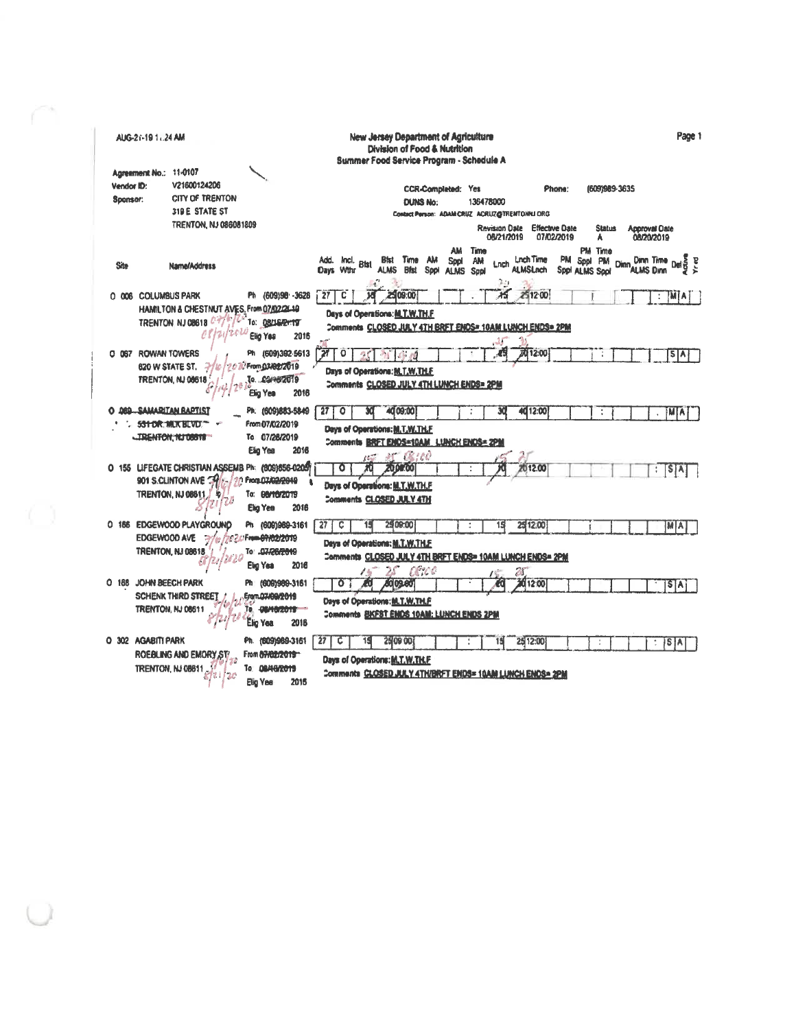| Page 1<br><b>New Jersey Department of Agriculture</b><br>AUG-21-19 1.24 AM<br>Division of Food & Nutrition<br>Summer Food Service Program - Schedule A                                                                                                                                  |   |
|-----------------------------------------------------------------------------------------------------------------------------------------------------------------------------------------------------------------------------------------------------------------------------------------|---|
| Agreement No.: 11-0107                                                                                                                                                                                                                                                                  |   |
| V21600124206<br>Vendor ID:<br><b>CCR-Completed: Yes</b><br>Phone:<br>(609)989-3635                                                                                                                                                                                                      |   |
| CITY OF TRENTON<br>Sponsor:<br>136478000                                                                                                                                                                                                                                                |   |
| <b>DUNS No:</b><br>319 E STATE ST<br>Contact Person: ADAM CRUZ ACRUZ@TRENTOHINI ORG                                                                                                                                                                                                     |   |
| TRENTON, NJ 086081809                                                                                                                                                                                                                                                                   |   |
| <b>Effective Date</b><br><b>Revision Date</b><br><b>Status</b><br><b>Approval Oate</b><br>08/21/2019<br>07/02/2019<br>08/20/2019<br>A                                                                                                                                                   |   |
| <b>AM</b><br>Time<br>PM Time                                                                                                                                                                                                                                                            |   |
| <b>Lnch Time</b><br>PM Sppl<br>kncl.<br><b>Bist</b> Time AM<br><b>PM</b><br><b>Dinn Time</b><br>Add.<br><b>Spot</b><br>AM<br><b>Bist</b><br>Lnch<br>Site<br>Name/Address<br>ALMS Blst Spot<br><b>ALMSLnch</b><br>Days With<br>ALMS Dinn<br><b>ALMS</b><br>Spp! ALMS Spp!<br><b>Sppl</b> | Έ |
| 2.11<br>251200<br>Жī<br>0 006 COLUMBUS PARK<br>Ph (609)98 - 3628<br>27<br>25 09:00<br>c<br>М<br>Αi                                                                                                                                                                                      |   |
| HAMILTON & CHESTNUT AVES, From 07/02/26-10<br>Days of Operations: M.T.W.TH.F                                                                                                                                                                                                            |   |
| TRENTON NJ 08618 <sup>C</sup><br>To: 08/16/2n19<br>Comments CLOSED JULY 4TH BRFT ENDS= 10AM LUNCH ENDS= 2PM                                                                                                                                                                             |   |
| Ello Yea<br>2016<br>-15                                                                                                                                                                                                                                                                 |   |
| 21<br>Ph (609)392-5613<br>45<br>O 067 ROWAN TOWERS<br>٠o<br><b>2012:00</b><br>$5 \AA$                                                                                                                                                                                                   |   |
| From 03/02/2019<br>620 W STATE ST.<br>2<br>Days of Operations: M.T.W.TH.F.                                                                                                                                                                                                              |   |
| To. CEMS72019<br>TRENTON, NJ 08618<br>Comments CLOSED JULY 4TH LUNCH ENDS= 2PM<br>Elig Yea<br>2016                                                                                                                                                                                      |   |
| Ph. (609)883-5849<br>O 089 SAMARITAN BAPTIST<br>40 09:00<br>40 12:00<br>27<br>$\bullet$<br><b>MA</b><br>÷                                                                                                                                                                               |   |
| From 07/02/2019<br><b>SS1 DR. MUK BLVD.</b><br>Days of Operations: M.T.W.TH.F.                                                                                                                                                                                                          |   |
| <b>IRENFON, NJ 08618</b><br>To 07/26/2019<br>Comments BRFT ENDS=10AM LUNCH ENDS= 2PM                                                                                                                                                                                                    |   |
| Elig Yea<br>2016                                                                                                                                                                                                                                                                        |   |
| at (Rice<br>O 155 LIFEGATE CHRISTIAN ASSEMB Ph: (809)656-0205<br><b>20 pertos</b><br>2012.00                                                                                                                                                                                            |   |
| SAT<br>From 07/02/2019<br>901 S.CLINTON AVE TH                                                                                                                                                                                                                                          |   |
| Days of Operations: M.T.W.TH.F<br><b>TRENTON, NJ 08611</b><br>To: 66/10/2019                                                                                                                                                                                                            |   |
| Comments CLOSED JULY 4TH                                                                                                                                                                                                                                                                |   |
| 2016<br>Elig Yea                                                                                                                                                                                                                                                                        |   |
| 0 188 EDGEWOOD PLAYGROUND<br>Ph (609)969-3161<br>27<br>2509:00<br>25 12:00<br>c<br>15<br>MAI                                                                                                                                                                                            |   |
| EDGEWOOD AVE<br>From 07/02/2019<br>Days of Operations: M.T.W.TH.E.                                                                                                                                                                                                                      |   |
| <b>TRENTON, NJ 08618</b><br>To: 07/26/2019<br>Comments CLOSED JULY 4TH BRFT ENDS= 10AM LUNCH ENDS= 2PM                                                                                                                                                                                  |   |
| Elig Yea<br>2016<br>aerod                                                                                                                                                                                                                                                               |   |
| 20<br>O 168 JOHN BEECH PARK<br>Ph (609)989-3161<br>2012:00<br>109.80<br>$\mathbf{o}$                                                                                                                                                                                                    |   |
| S[A]<br><b>SCHENK THIRD STREET</b><br>Erem.07/09/2019                                                                                                                                                                                                                                   |   |
| Days of Operations: M.T.W.TH.F<br>TRENTON, NJ 08611<br>To. OBMO/2019                                                                                                                                                                                                                    |   |
| <b>Comments BKFST ENDS 10AM: LUNCH ENDS 2PM</b><br>2016                                                                                                                                                                                                                                 |   |
| Elig Yea                                                                                                                                                                                                                                                                                |   |
| O 302 AGABITI PARK<br>Ph. (609)969-3161<br>27<br>с<br>25 09 00<br>25 12:00<br>15<br>1S.<br>١٨                                                                                                                                                                                           |   |
| ROEBLING AND EMORY ST<br>From 07/02/2019<br>Days of Operations: M.T.W.TH.F                                                                                                                                                                                                              |   |
| To 08/16/2019<br>TRENTON, NJ 08611<br>Comments CLOSED JULY 4TH/BRFT ENDS= 10AM LUNCH ENDS= 2PM                                                                                                                                                                                          |   |
| Elig Yea<br>2016                                                                                                                                                                                                                                                                        |   |

 $\bigcup$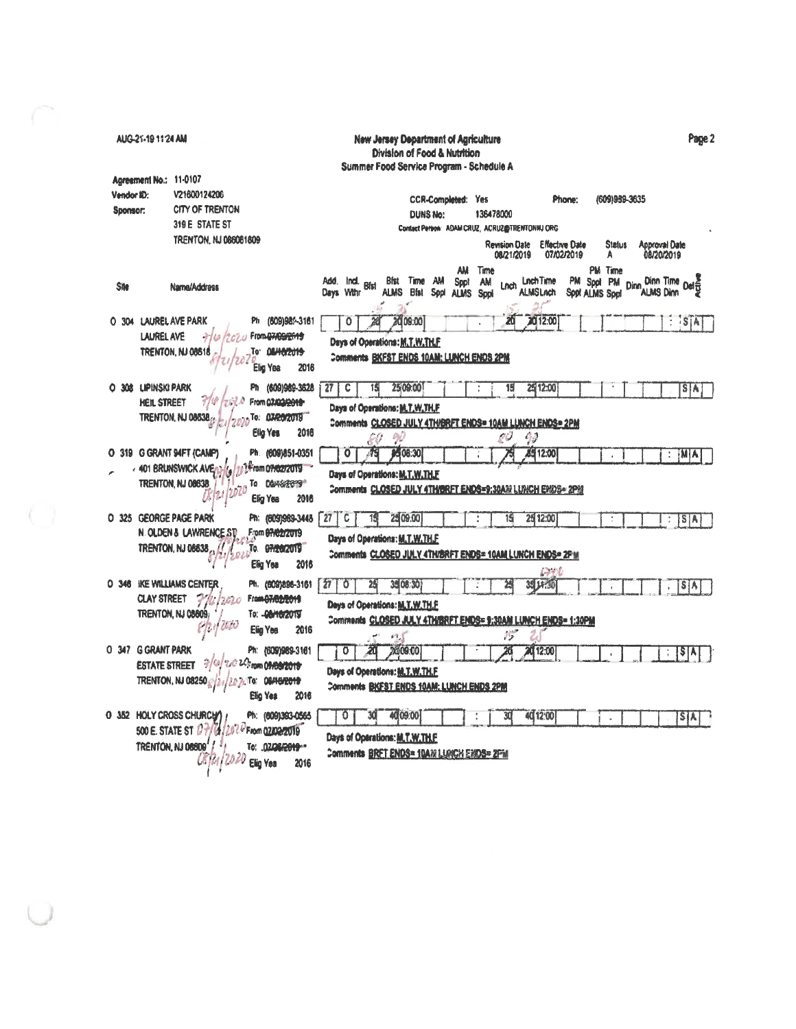| AUG-21-19 11:24 AM     |                                                         |                     |                                          | <b>New Jersey Department of Agriculture</b><br>Division of Food & Nutrition |                    |                                                |                                                                |                                                     | Page 2                             |
|------------------------|---------------------------------------------------------|---------------------|------------------------------------------|-----------------------------------------------------------------------------|--------------------|------------------------------------------------|----------------------------------------------------------------|-----------------------------------------------------|------------------------------------|
|                        |                                                         |                     |                                          | Summer Food Service Program - Schedule A                                    |                    |                                                |                                                                |                                                     |                                    |
| Agreement No.: 11-0107 |                                                         |                     |                                          |                                                                             |                    |                                                |                                                                |                                                     |                                    |
| Vendor ID:             | V21600124206                                            |                     |                                          |                                                                             | CCR-Completed: Yes |                                                | Phone:                                                         | (609)989-3635                                       |                                    |
| Sponsor:               | CITY OF TRENTON                                         |                     |                                          | <b>DUNS No:</b>                                                             |                    | 136478000                                      |                                                                |                                                     |                                    |
|                        | 319 E STATE ST                                          |                     |                                          |                                                                             |                    | Contact Person: ADAM CRUZ, ACRUZ@TRENTONNJ ORG |                                                                |                                                     |                                    |
|                        | TRENTON, NJ 086081809                                   |                     |                                          |                                                                             |                    | <b>Revision Date</b><br>08/21/2019             | <b>Effective Date</b><br>07/02/2019                            | <b>Status</b><br>A                                  | <b>Approval Date</b><br>08/20/2019 |
| <b>Site</b>            | Name/Address                                            |                     | Add.<br>Ind. Bfst<br>Days With           | Bfst Time AM<br>ALMS Bist Sppt ALMS                                         | AM<br><b>Sppt</b>  | Time<br><b>AM</b><br>Lnch<br><b>Sppl</b>       | <b>Lnch Time</b><br>PM.<br><b>ALMSLnch</b>                     | <b>PM</b> Time<br>Sppt PM<br>Dinn<br>Sopt ALMS Sppl | Dinn Time<br>ALAAR Dinn Delet      |
| O 304 LAUREL AVE PARK  |                                                         | Ph (609)98%-3161    | 0                                        | 2009:00                                                                     |                    |                                                | 2012:00                                                        |                                                     | ÷<br>isiA                          |
| <b>LAUREL AVE</b>      | From 07/09/2619                                         |                     |                                          |                                                                             |                    |                                                |                                                                |                                                     |                                    |
|                        | TRENTON, NJ 08618<br>Elig Yea                           | To DAHOZU19<br>2016 |                                          | Days of Operations: M.T.W.TH.F<br>Comments BKFST ENDS 10AM; LUNCH ENDS 2PM  |                    |                                                |                                                                |                                                     |                                    |
| O 308 LIPINSKI PARK    |                                                         | Ph (609)989-3628    | $27\,$<br>C                              | 25 09:00                                                                    |                    | 19                                             | 2512:00                                                        |                                                     | $S_A$                              |
| <b>HEIL STREET</b>     |                                                         | From 02/02/0649-    |                                          |                                                                             |                    |                                                |                                                                |                                                     |                                    |
|                        | TRENTON, NJ 08638.                                      | To: 07/20/2019      |                                          | Days of Operations: M.T.W.TH.F                                              |                    |                                                |                                                                |                                                     |                                    |
|                        | Ellg Yes                                                | 2016                | 60                                       | 90                                                                          |                    | ov                                             | Comments CLOSED JULY 4TH/BRFT ENDS= 10AM LUNCH ENDS= 2PM<br>49 |                                                     |                                    |
|                        | O 319 G GRANT 94FT (CAMP)                               | Ph. (609)851-0351   | 0                                        | 05/08:30                                                                    |                    |                                                | 85 12:00                                                       |                                                     | M A <br>÷                          |
|                        | « 401 BRUNSWICK AVE»                                    | From 07/02/2019     |                                          | Days of Operations: M.T.W.TH.F                                              |                    |                                                |                                                                |                                                     |                                    |
|                        | TRENTON, NJ 08638<br>Elig Yea                           | To DEMERTY<br>2016  |                                          |                                                                             |                    |                                                | Comments CLOSED JULY 4TH/BRFT ENDS=9:30AM LUNCH ENDS= 2PM      |                                                     |                                    |
| O 325 GEORGE PAGE PARK |                                                         | Ph: (609)969-3445   | $\sqrt{27}$<br>C                         | 25 09:00                                                                    |                    | 15                                             | 25 12:00                                                       |                                                     | S A <br>$\ddot{\phantom{0}}$       |
|                        | <b>N. OLDEN &amp; LAWRENCE ST</b><br>From 07/02/2019    |                     |                                          |                                                                             |                    |                                                |                                                                |                                                     |                                    |
|                        | <b>TRENTON, NJ 06638,</b><br>To. 07/20/2019<br>Elig Yea | 2016                | Days of Operations: M.T.W.TH.F.          |                                                                             |                    |                                                | Comments CLOSED JULY 4TH/BRFT ENDS= 10AM LUNCH ENDS= 2PM       |                                                     |                                    |
|                        |                                                         |                     |                                          |                                                                             |                    |                                                | IFT L                                                          |                                                     |                                    |
|                        | O 346 IKE WILLIAMS CENTER                               | Ph. (809)896-3161   | 27 <sup>1</sup><br>O                     | 35 08:30                                                                    |                    |                                                | 35 J.F. 30                                                     |                                                     | S[A]                               |
| <b>CLAY STREET</b>     | From 07/02/2019<br>7<br>2626                            |                     | Days of Operations: M.T.W.TH.F           |                                                                             |                    |                                                |                                                                |                                                     |                                    |
|                        | TRENTON, NJ 08609;<br>To: -00/10/2019<br>Elig Yea       | 2016                |                                          |                                                                             |                    |                                                | Comments CLOSED JULY 4TH/BRFT ENDS= 9:30AM LUNCH ENDS= 1:30PM  |                                                     |                                    |
|                        |                                                         |                     |                                          |                                                                             |                    | 15                                             |                                                                |                                                     |                                    |
| O 347 G GRANT PARK     | $\frac{1}{2}$ (a) $2.022$ ram 09/09/2019                | Ph: (609)989-3161   | 20<br>٥                                  | 20 09:00                                                                    |                    |                                                | 20 12:00                                                       |                                                     | \$ A                               |
| <b>ESTATE STREET</b>   |                                                         |                     | Days of Operations: M.T.W.TH.F.          |                                                                             |                    |                                                |                                                                |                                                     |                                    |
|                        | TRENTON, NJ 08250<br>2021 To: 06/16/2019<br>Elig Yes    | 2016                | Comments BKFST ENDS 10AM; LUNCH ENDS 2PM |                                                                             |                    |                                                |                                                                |                                                     |                                    |
|                        | O 352 HOLY CROSS CHURCHY                                | Ph: (609)383-0565   | Ð                                        | 40,09:00                                                                    |                    |                                                | 40 12:00                                                       | ÷.                                                  | S[A]                               |
|                        | 500 E. STATE ST 07/01/2070 From 02/02/2019              |                     |                                          |                                                                             |                    |                                                |                                                                |                                                     |                                    |
|                        | TRENTON, NJ 08809                                       | To: 07/26/2019 --   | Days of Operations: M.T.W.TH.F.          |                                                                             |                    |                                                |                                                                |                                                     |                                    |
|                        | Elig Yea                                                | 2016                | Comments BRET ENDS= 10AM LUNCH ENDS= 2PM |                                                                             |                    |                                                |                                                                |                                                     |                                    |
|                        |                                                         |                     |                                          |                                                                             |                    |                                                |                                                                |                                                     |                                    |

 $\bigcup$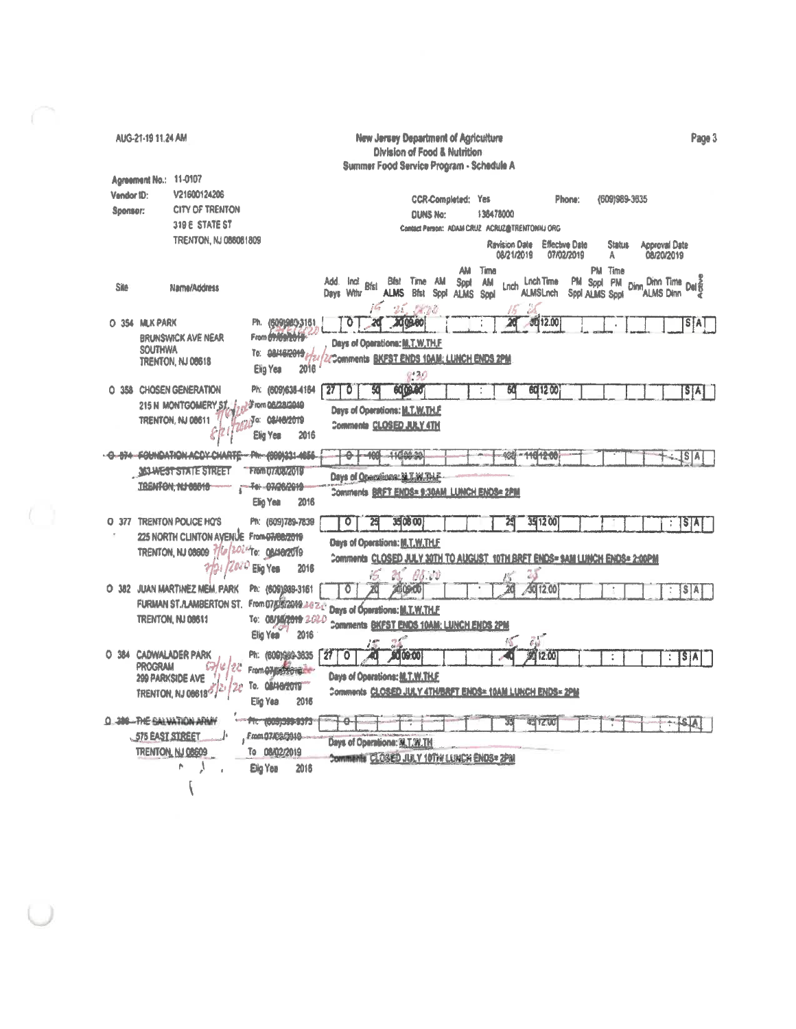AUG-21-19 11.24 AM New Jersey Department of Agriculture Page 3 **Division of Food & Nutrition** Summer Food Service Program - Schedule A Agreement No.: 11-0107 Vendor ID: V21600124206 **CCR-Completed: Yes** Phone: (609)989-3635 **CITY OF TRENTON** Sponsor: **DUNS No:** 136478000 319 E STATE ST **Contact Person: ADAM CRUZ ACRUZ@TRENTONIU ORG TRENTON, NJ 086081809 Ravision Date Effective Date Status Approval Date** 08/20/2019 08/21/2019 07/02/2019 A AM Time PM Time PM Sppl PM Dinn Dinn turn-<br>PM Sppl PM Dinn ALMS Dinn Dinn Time<br>Al Als Dinn Del & **Bfst Bfst Time AM Sppt AM**<br>ALMS Bfst SppI ALMS SppI Lnch Lnch Time PM Sppl PM<br>ALMSLnch Sppl ALMS Sppl Add. Incl. Sila Name/Address Days Wthr 16 25 OR60  $\epsilon$ 0 20 20 00:00  $-3012.00$ O 354 MLK PARK Ph. (609)980-3161 Ä  $S[A]$ From <del>Orloan of B</del> **BRUNSWICK AVE NEAR** Days of Operations: M.T.W.TH.F. **SOUTHWA** То: 08/16/2019 г. **ZZComments BKFST ENDS 10AM: LUNCH ENDS 2PM** TRENTON, NJ 08618 2016 Elig Yea  $(120)$ O 358 CHOSEN GENERATION Ph: (609)638-4184 27 0 **COLORED** 601200  $|\mathbf{S}|\mathbf{A}|$ ्थ  $50$ ÷ 215 N MONTGOMERY ST. J. Linn 08/28/2010 Days of Operations: M.T.W.TH.F .<br>«23<sup>3</sup>¤: 08/46/2019 TRENTON, NJ 08611 Comments CLOSED JULY 4TH 8 Elig Year 2016 -0-874-FOUNDATION ACOVICHARTE PH-(000)331-4656- $-6 - 100 - 11000.30$ 400 -11012-00  $|S|A|$ **ASSANEST STATE STREET** Trian 07706/2019 Days of Onemilens: M.T.W.TH.F. TRENTON, NJ 00010 -- Tel -07/26/2019 Comments BRFT ENDS= 9:30AM LUNCH ENDS= 2PM Elig Year 2016 O 377 TRENTON POLICE HO'S Ph: (609)789-7839 35 08 00 35 12 00 ᠊ᢐ 潤  $\cdot$  SA 25 225 NORTH CLINTON AVENUE From 07/08/2019 Days of Operations: M.T.W.TH.F TRENTON, NJ 08609 7/6/2024 To: 084802019 Comments CLOSED JULY 30TH TO AUGUST 10TH BRET ENDS= SAM LUNCH ENDS= 2:00PM 2/21 /2020 Elig Yes 2016 08:00 O 382 JUAN MARTINEZ MEM. PARK Ph: (609)989-3161 40 12:00 Ō 因 2009/00  $S$  $A$ FURMAN ST.A.AMBERTON ST. From 075002049.2020 Days of Operations: M.T.W.TH.F. TRENTON, NJ 08611 То: 08/35/2019 2020 Comments BKFST ENDS 10AM; LUNCH ENDS 2PM Elig Yea 2016 O 384 CADWALADER PARK  $270$ Ph: (609)989-3635 70  $1000$ 12:00  $:$   $S[A]$ ÷ **PROGRAM** G  $u_{12C}$ From OND STORECC Days of Operations: N.T.W.TH.F. 299 PARKSIDE AVE To. OBMO/2019" TRENTON, NJ 086185/2 Comments CLOSED JULY 4TH/BRFT ENDS= 10AM LUNCH ENDS= 2PM Elig Yea 2016 0.300-THE SALVATION ARMY The 10001009-0073  $7-1$ 4912.00  $14 - 12$ χĒ, 575 EAST STREET Fmm07/08/2010h Days of Operations: M.T.W.TH TRENTON, NJ 08609 To 08/02/2019 Comments CLOSED JULY 10TH/ LUNCH ENDS= 2PM  $\lambda$ p. Elig Yea 2016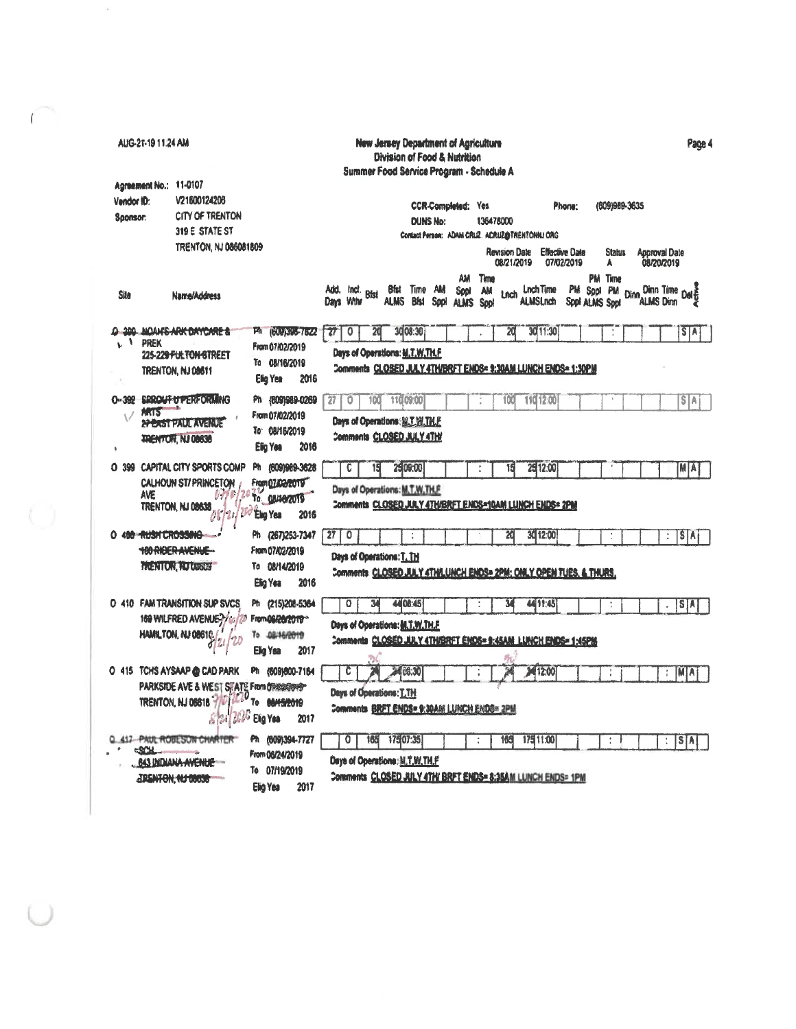|                        | AUG-21-19 11:24 AM     |                                                                                                                                           |                                                                              |      |                    |                                                             |      |             |                                    |                 | New Jersey Department of Agriculture<br>Division of Food & Nutrition<br>Summer Food Service Program - Schedule A |                                 |                                             |                              |          |                              |                              |                                      |       |                                                                           |                                      | Page 4      |  |
|------------------------|------------------------|-------------------------------------------------------------------------------------------------------------------------------------------|------------------------------------------------------------------------------|------|--------------------|-------------------------------------------------------------|------|-------------|------------------------------------|-----------------|------------------------------------------------------------------------------------------------------------------|---------------------------------|---------------------------------------------|------------------------------|----------|------------------------------|------------------------------|--------------------------------------|-------|---------------------------------------------------------------------------|--------------------------------------|-------------|--|
| Vendor ID:<br>Soonsor: | Agreement No.: 11-0107 | V21600124206<br><b>CITY OF TRENTON</b><br>319 E STATE ST                                                                                  |                                                                              |      |                    |                                                             |      |             |                                    | <b>DUNS No:</b> | <b>CCR-Completed: Yes</b><br>Contact Person: ADAM CRUZ. ACRUZ@TRENTONNJ ORG                                      | 136478000                       |                                             |                              |          | Phone:                       |                              | (609)989-3635                        |       |                                                                           |                                      |             |  |
| <b>Site</b>            |                        | TRENTON, NJ 086081809<br>Name/Address                                                                                                     |                                                                              |      | Add.               | ind.<br>Days Winn                                           | Bist | <b>ALMS</b> | <b>Bfst</b> Time AM<br><b>Bist</b> | <b>Sool</b>     | AM<br>Spot<br><b>ALMS</b>                                                                                        | Time<br><b>AM</b><br><b>Soo</b> | <b>Revision Date</b><br>08/21/2019<br>Linch | Lnch Time<br><b>ALMSLnch</b> |          | Effective Date<br>07/02/2019 | PM Sppl PM<br>Sppl ALMS Sppl | <b>Status</b><br>A<br><b>PM</b> Time | Dinn. | <b>Approval Date</b><br>08/20/2019<br>Dinn Time Delte<br><b>ALMS Dinn</b> |                                      |             |  |
|                        | L <sup>I</sup> PREK    | <b>O 300 NOAMS ARK DAYCARE &amp;</b>                                                                                                      | Ph (609)346-7622<br>From 07/02/2019                                          |      | $\boldsymbol{\pi}$ | $\circ$<br><b>Days of Operations: <u>M.T.W.TH.F</u></b>     | 20   |             | 30 08:30                           |                 |                                                                                                                  |                                 | 20                                          |                              | 30 11:30 |                              |                              |                                      |       |                                                                           |                                      | SIA         |  |
| $0 - 392$              |                        | 225-229 FULTON STREET<br>TRENTON, NJ 08611<br><b>SPROUT OF PERFORMING</b>                                                                 | To 08/16/2019<br>Elig Yea<br>Ph (609)989-0269                                | 2016 | 27                 | O                                                           | 100  |             | 11009:00                           |                 | Comments CLOSED JULY 4TH/BRFT ENDS= 9:30AM LUNCH ENDS= 1:30PM                                                    |                                 | 100                                         | 11012.00                     |          |                              |                              |                                      |       |                                                                           |                                      | S/A         |  |
|                        | <b>MATS</b>            | <b><i><b>APPAST PAUL AVENUE</b></i></b><br><b>TRENTON, NJ 08638</b>                                                                       | From 07/02/2019<br>To: 08/16/2019<br><b>Elig Yea</b>                         | 2016 |                    | Days of Operations: N.T.W.TH.F.<br>Comments CLOSED JULY 4TH |      |             |                                    |                 |                                                                                                                  |                                 |                                             |                              |          |                              |                              |                                      |       |                                                                           |                                      |             |  |
|                        | AVE                    | O 399 CAPITAL CITY SPORTS COMP<br>CALHOUN ST/PRINCETON<br>TRENTON, NJ 08638<br>08/21/                                                     | Ph (609)969-3628<br>From 07/02/2019<br><b>То ОВИАРZUT9</b><br>Elig Yea       | 2016 |                    | C<br>Days of Operations: M.T.W.TH.F.                        | 15   |             | 25,09:00                           |                 | Comments CLOSED JULY 4TH/BRFT ENDS=10AM LUNCH ENDS= 2PM                                                          |                                 |                                             |                              | 25112:00 |                              |                              |                                      |       |                                                                           |                                      | <b>MA</b>   |  |
|                        | O 400 RUSH CROSSING    | 100 ANDER AVENUE-<br><b>TRENTON, NJ DESCE</b>                                                                                             | Ph (267)253-7347<br>From 07/02/2019<br>To 08/14/2019<br>Elig Yea             | 2016 | 27 <sup>1</sup>    | 0<br>Days of Operations: T. TH                              |      |             |                                    |                 | Comments CLOSED JULY 4TH/LUNCH ENDS= 2PM; ONLY OPEN TUES, & THURS,                                               |                                 | 20                                          |                              | 30 12:00 |                              |                              |                                      |       |                                                                           | $\stackrel{*}{\scriptscriptstyle *}$ | <b>STAT</b> |  |
|                        |                        | O 410 FAM TRANSITION SUP SVCS<br>169 WILFRED AVENUE?/46<br>HAMILTON, NJ 08610                                                             | Ph (215)208-5364<br><b>122 From 06/20/2019*</b><br>To 08/16/2019<br>Elig Yea | 2017 |                    | 0<br>Days of Operations: M.T.W.TH.F                         | 34   |             | 4408:45                            |                 | Comments CLOSED JULY 4TH/BRFT ENOS= 9:45AM LUNCH ENDS= 1:45PM                                                    |                                 |                                             | 4411:45                      |          |                              |                              |                                      |       |                                                                           |                                      | S[A]        |  |
|                        |                        | O 415 TCHS AYSAAP @ CAD PARK<br>PARKSIDE AVE & WEST STATE From DIABBARRAPY<br>TRENTON, NJ 08818 7/ 1/2020<br>$g_{\rm{Edd}}/2000$ Elig Yea | Ph (609)800-7164<br><b>To BAHS/2019</b>                                      | 2017 |                    | C<br>Days of Operations: T.TH                               |      |             | <b>MO8:30</b>                      |                 | <b>Comments BRFT ENDS=9:30AM LUNCH ENDS=2PM</b>                                                                  |                                 |                                             | 3412:00                      |          |                              |                              |                                      |       |                                                                           | ÷.                                   | MIA         |  |
|                        | <b>CSCH</b>            | <b>412-PAUL ROBESUN CHARTER</b><br><b>643 INDIANA AVENUE</b><br>JRENTON, NJ 08638                                                         | Ph (609)394-7727<br>From 06/24/2019<br>To 07/19/2019<br>Elio Yea             | 2017 |                    | O<br>Days of Operations: M.T.W.TH.F                         | 165  | 17507:35    |                                    |                 | Comments CLOSED JULY 4TH/ BRFT ENDS= 8:35AM LUNCH ENDS= 1PM                                                      |                                 | 165                                         | 175 11:00                    |          |                              |                              | ÷                                    |       |                                                                           |                                      | S[A]        |  |

 $\sim$   $\sim$ 

 $\sqrt{2}$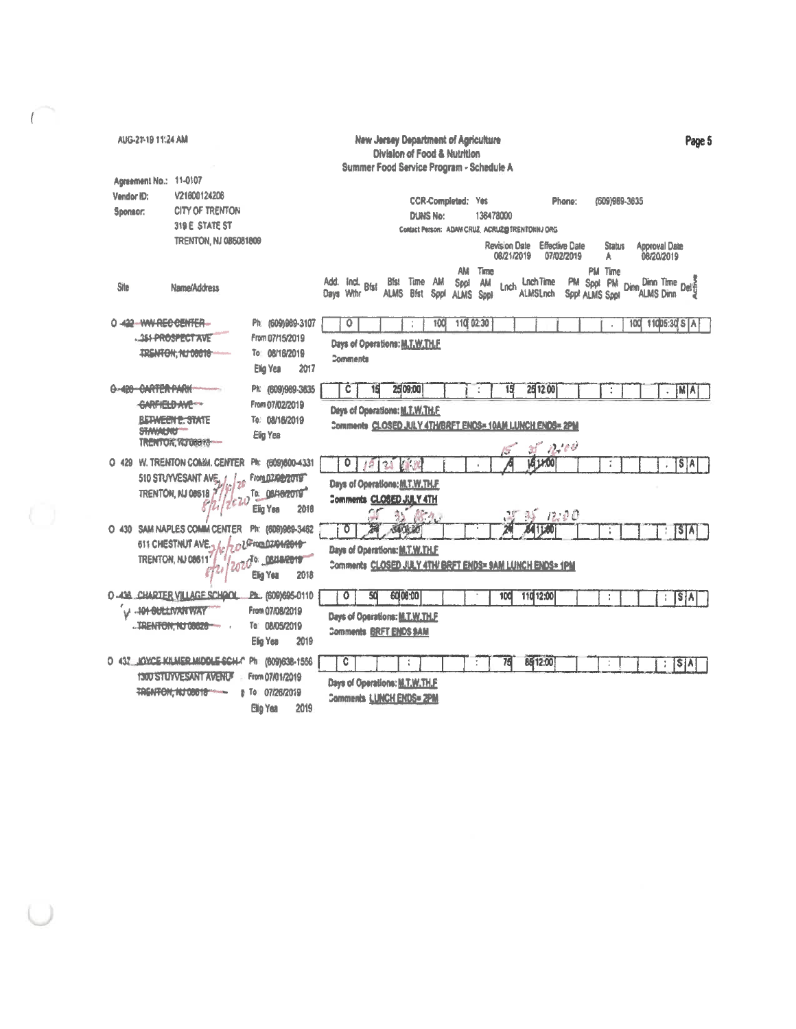| <b>New Jersey Department of Agriculture</b><br>Page 5<br>AUG-21-19 11:24 AM<br>Division of Food & Nutrition                                                                                                                                                                                                                                                                                            |
|--------------------------------------------------------------------------------------------------------------------------------------------------------------------------------------------------------------------------------------------------------------------------------------------------------------------------------------------------------------------------------------------------------|
| Summer Food Service Program - Schedule A<br>Agreement No.: 11-0107                                                                                                                                                                                                                                                                                                                                     |
| V21600124206<br>Vendor ID:<br>(609)989-3835<br><b>CCR-Completed: Yes</b><br>Phone:<br><b>CITY OF TRENTON</b><br>Sponsor:<br><b>DUNS No:</b><br>136478000<br>319 E STATE ST<br>Contact Person: ADAM CRUZ, ACRUZ@TRENTONNJ ORG<br><b>TRENTON, NJ 085081809</b><br><b>Revision Date</b><br><b>Effective Date</b><br><b>Status</b><br><b>Approval Date</b><br>08/20/2019<br>08/21/2019<br>07/02/2019<br>A  |
| AM<br>Time<br>PM Time<br>Add.<br>Ind. Bfst<br>Bist Time AM<br><b>Lnch Time</b><br>PM Sppi PM<br>$\frac{\text{Dim Time}}{\text{M}}$<br>Spol<br>am<br>Dinn.<br>Lnch<br>Site<br>Name/Address<br><b>Bfst</b><br>Days Wihr<br><b>ALMS</b><br><b>ALMSLnch</b><br>ALMS Dinn<br>Sppl<br>Sppt ALMS Sppt<br><b>ALMS</b><br>Sppi                                                                                  |
| 110 02:30<br>0-432-WW-REG-BENTER-<br>Ph: (609)989-3107<br>0<br>100<br>100<br>11005:30 S A<br><b>351-PROSPECT AVE</b><br>From 07/15/2019<br>Days of Operations: M.T.W.TH.F.<br><b>TRENTON, NJ 00010</b><br>To: 08/16/2019<br>Comments<br>Elig Yea<br>2017                                                                                                                                               |
| 0-420-CARTER PARK<br>Ph: (609)969-3635<br>25 09:00<br>25 12:00<br>$ \mathbf{M} \mathbf{A} $<br>15<br>c<br>15<br>÷<br>$\overline{\phantom{a}}$<br>CARFIELD AVE<br>From 07/02/2019<br>Days of Operations: M.T.W.TH.F.<br><b>BETWEEN E. STATE</b><br>To: 08/16/2019<br>Comments CLOSED JULY 4TH/BRFT ENDS= 10AM LUNCH ENDS= 2PM<br><b>STANALING</b><br>Elig Yea<br><b>TRENTON, NJ 08616-4</b><br>$-2.100$ |
| 151400<br>O 429 W. TRENTON COMM. CENTER<br>Ph: (609)600-4331<br>$S$ $A$<br>2<br>510 STUYVESANT AVE. /<br>From 02/02/2019<br>Days of Operations: M.T.W.TH.F.<br>То: 08/18/2019<br>TRENTON, NJ 08618<br>Comments CLOSED JULY 4TH<br>ר ל<br>2018<br>Elig Yes<br>18.9.<br>$135 - 12.00$                                                                                                                    |
| O 430 SAM NAPLES COMM CENTER<br>Ph: (609)969-3462<br>5406.00<br>$\circ$<br>$[5]$ $\overline{A}$<br>611 CHESTNUT AVE.<br>ol From 02/04/2019<br>Days of Operations: M.T.W.TH.F.<br>TRENTON, NJ 08611<br>ndo OBLIGATO<br>Comments CLOSED JULY 4TH/ BRFT ENDS= SAM LUNCH ENDS= 1PM<br>2018<br>Elig Yea                                                                                                     |
| <b>O  438 CHARTER VILLAGE SCHOOL</b><br>Ph., (609)695-0110<br>٥<br>50<br>60 00:00<br>110 12:00<br>SA<br>100<br>t<br>÷<br><b>-101-BULLIVAN WAY</b><br>From 07/08/2019<br>Days of Operations: M.T.W.TH.P<br>To: 08/05/2019<br>TRENTON, NJ 08828<br><b>Comments BRFT ENDS SAM</b><br>Elig Yea<br>2019                                                                                                     |
| O 437 IOYCE KILMER MIDDLE SCH-C<br>Ph: (609)638-1556<br>85 12:00<br>C<br>75<br>S[A]<br>÷<br>÷<br><b>BUESTUM ESTAT AVENUE</b><br>From 07/01/2019<br>Days of Operations: M.T.W.TH.F.<br>TRENTON, NJ 08018<br>e To 07/26/2019<br>Comments LUNCH ENDS= 2PM<br>Ellio Yea<br>2019                                                                                                                            |

 $\overline{C}$ 

 $\cup$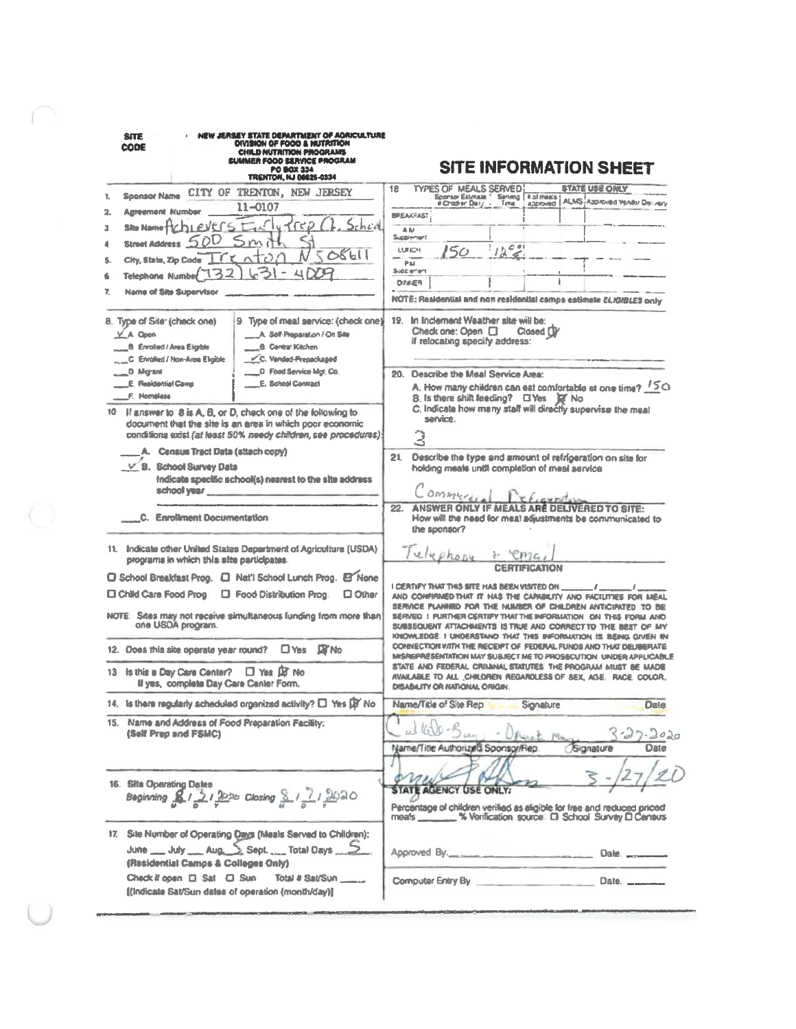| OIVISION OF FOOD & NUTRITION<br>COD€<br>CHILD NUTRITION PROGRAMS<br>SUMMER FOOD SERVICE PROGRAM<br><b>PO BOX 334</b><br><b>TRENTON, NJ 08825-0334</b> | <b>SITE INFORMATION SHEET</b>                                                                                                                |
|-------------------------------------------------------------------------------------------------------------------------------------------------------|----------------------------------------------------------------------------------------------------------------------------------------------|
| CITY OF TRENTON, NEW JERSEY<br><b>Sponsor Name</b><br>1.<br>11-0107<br>2.<br><b>Agreement Number</b>                                                  | <b>STATE USE ONLY</b><br>18<br><b>TYPES OF MEALS SERVED</b><br>Sconsor Estimate 1 Serving 14 of mass<br>ALMS Approved Vendor Delivery        |
| hi evers<br>'Ce<br><b>Site Name</b><br>3                                                                                                              | <b>BREAKFAST</b><br>AM                                                                                                                       |
| Smi<br><b>Street Address</b><br>4                                                                                                                     | Succientari                                                                                                                                  |
| 508611<br>$\sim$ T                                                                                                                                    | 1223<br><b>LURICH</b><br>150                                                                                                                 |
| City, State, Zip Code<br>s<br>4 D                                                                                                                     | Pai<br>Supplement                                                                                                                            |
| 74<br><b>Telephone Number</b>                                                                                                                         | <b>DIVIER</b>                                                                                                                                |
| 7.<br><b>Name of Site Supervisor</b>                                                                                                                  | NOTE: Residential and non residential camps estimate ELIGIBLES only                                                                          |
| 9. Type of meal service: (check one)<br>8. Type of Site (check one)                                                                                   | 19. In Inclement Weather site will be:                                                                                                       |
| $X$ A Open<br>A. Self-Preparation / On Sea                                                                                                            | Check one: Open [3]<br>Closed DV                                                                                                             |
| <b>B</b> Enrolled / Area Eligible<br><b>B. Central Kitchen</b>                                                                                        | if relocating specify address:                                                                                                               |
| C. Vanded-Prepackaged<br>C. Enrolled / Non-Area Eligible                                                                                              |                                                                                                                                              |
| <b>D</b> Food Service Mgt. Co.<br>D. Migrant                                                                                                          | Describe the Meal Service Area:<br>20.                                                                                                       |
| E. School Contract<br>E. Residential Caves<br>F. Homeless                                                                                             | A. How many children can eat comfortable at one time? 150                                                                                    |
|                                                                                                                                                       | B. Is there shift feeding? El Yes El No.<br>C. Indicate how many staff will directly supervise the meal                                      |
| 10. If answer to 8 is A, B, or D, check one of the following to<br>document that the site is an area in which poor economic                           | service.                                                                                                                                     |
| conditions exist (at least 50% needy children, see procedures).                                                                                       | 3                                                                                                                                            |
| Census Tract Data (attach copy)                                                                                                                       |                                                                                                                                              |
| V B. School Survey Data                                                                                                                               | Describe the type and amount of refrigeration on site for<br>21.                                                                             |
| Indicate specific school(s) nearest to the site address                                                                                               | holding meals until completion of meal service.                                                                                              |
| school year                                                                                                                                           | Communi                                                                                                                                      |
|                                                                                                                                                       | <b>ANSWER ONLY IF MEALS AR</b><br>22.<br><b>DELIVERED TO SITE:</b>                                                                           |
| C. Enrollment Documentation                                                                                                                           | How will the need for meal adjustments be communicated to                                                                                    |
|                                                                                                                                                       | the sponsor?                                                                                                                                 |
| 11. Indicate other United States Department of Agriculture (USDA)<br>programs in which this site participates.                                        | Telephone                                                                                                                                    |
| <b>O School Breakfast Prop. D. Nat'l School Lunch Prop. B None</b>                                                                                    | <b>CERTIFICATION</b>                                                                                                                         |
| <b>Child Care Food Prog.</b><br><b>D</b> Food Distribution Prog.<br><b>U</b> Other                                                                    | I CEATIFY THAT THIS SITE HAS BEEN VISITED ON<br>AND CONFIRMED THAT IT HAS THE CAPABILITY AND FACILITIES FOR MEAL                             |
|                                                                                                                                                       | SERVICE PLANNED FOR THE NUMBER OF CHILDREN ANTICIPATED                                                                                       |
| NOTE: Sites may not receive simultaneous funding from more than<br>one USDA program.                                                                  | SERVED I PURTHER CERTIFY THAT THE INFORMATION ON THIS FORM AND                                                                               |
|                                                                                                                                                       | SUBSEQUENT ATTACHMENTS IS TRUE AND CORRECT TO THE BEST<br>KNOWLEDGE. I UNDERSTANO THAT THIS INFORMATION IS BEING GIVEN IN                    |
| O Yes DI No<br>12. Does this site operate year round?                                                                                                 | CONNECTION WITH THE RECEIPT OF FEDERAL FUNDS AND THAT DELIBERATE<br>INVSPIEPPIESENTATION MAY SUBJECT ME TO PROSECUTION UNDER APPLICABLE      |
| $\Box$ Yes $\Box$ No<br>Its this a Day Care Center?<br>13                                                                                             | STATE AND FEDERAL CRIMINAL STATUTES THE PROGRAM MIUST BE MADE                                                                                |
| If yes, complete Day Care Center Form.                                                                                                                | AVAILABLE TO ALL CHILDREN REGARDLESS OF BEX, AGE. RACE. COLOR.<br>DISABILITY OR NATIONAL ORIGIN.                                             |
| 14. Is there regularly scheduled organized activity? [ ] Yes [B' No                                                                                   | Name/Title of Site Rep<br>Signature<br>Date                                                                                                  |
| 15. Name and Address of Food Preparation Facility:                                                                                                    | with - Sun                                                                                                                                   |
| (Self Prep and FSMC)                                                                                                                                  |                                                                                                                                              |
|                                                                                                                                                       | Name/Title Authorized Sponsor/Rep.<br>Signature<br><b>Oate</b>                                                                               |
|                                                                                                                                                       |                                                                                                                                              |
| 16. Site Operating Dates                                                                                                                              |                                                                                                                                              |
| Beginning <u>812122</u> 0 Closing 81212020                                                                                                            | <b>STATE AGENCY USE ONLY:</b>                                                                                                                |
|                                                                                                                                                       | Percentage of children verified as eligible for free and reduced priced.<br>meals ________ % Verification source. El School Survey El Cansus |
| 17. Site Number of Operating Days (Meals Served to Children):                                                                                         |                                                                                                                                              |
| June July Aug Sept. Total Days S                                                                                                                      | Approved By.<br>Date.                                                                                                                        |
| (Residential Camps & Colleges Only)                                                                                                                   |                                                                                                                                              |
| Check if open [3] Sat [3] Sun<br>Total # Sat/Sun                                                                                                      | Computer Entry By <b>Computer Entry By</b><br>Date.                                                                                          |
|                                                                                                                                                       |                                                                                                                                              |

 $\subset$ 

 $\bigcirc$ 

 $\cup$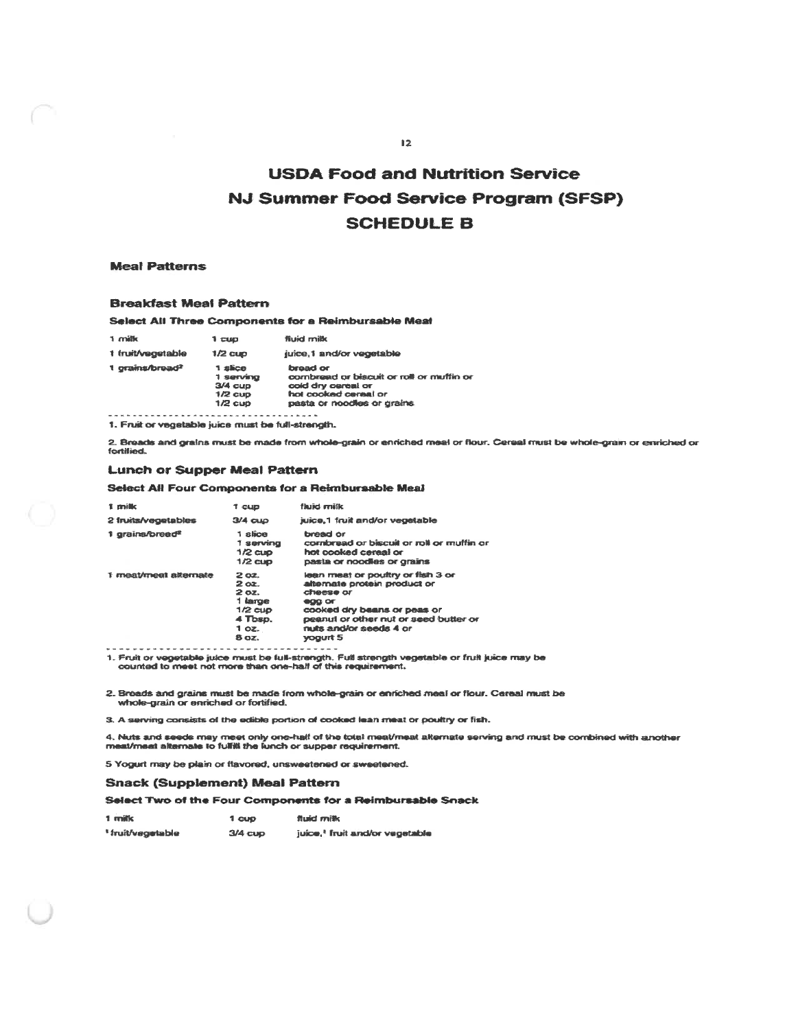# **USDA Food and Nutrition Service** NJ Summer Food Service Program (SFSP) **SCHEDULE B**

### **Meal Patterns**

#### **Breakfast Meal Pattern**

#### Select All Three Components for a Reimbursable Meal

| 1 milk                      | 1 CUD                                                       | <b>fluid milk</b>                                                                                                                 |
|-----------------------------|-------------------------------------------------------------|-----------------------------------------------------------------------------------------------------------------------------------|
| 1 fruit/vegetable           | $1/2$ cup                                                   | juice,1 and/or vegetable                                                                                                          |
| 1 grains/bread <sup>2</sup> | 1 slice<br>1 serving<br>$3/4$ cup<br>$1/2$ cup<br>$1/2$ cup | bread or<br>combread or biscuit or roll or muffin or<br>cold dry careal or<br>hal cooked cereal or<br>pasta or noodles or grains. |

1. Fruit or vegetable juice must be full-strength.

2. Breads and grains must be made from whole-grain or enriched meal or flour. Cereal must be whole-grain or enriched or<br>fortified.

#### **Lunch or Supper Meal Pattern**

#### Select All Four Components for a Reimbursable Meal

| 1 milk                      | <b>T</b> CUD                                                                        | flaziet renitik                                                                                                                                                                                               |
|-----------------------------|-------------------------------------------------------------------------------------|---------------------------------------------------------------------------------------------------------------------------------------------------------------------------------------------------------------|
| 2 truits/vegetables         | $3/4$ cup                                                                           | juice,1 fruit and/or vegetable                                                                                                                                                                                |
| 1 grains/bread <sup>®</sup> | 1 slice<br>1 servina<br>$1/2$ CLID<br>$1/2$ cup                                     | bread or<br>combread or biscuit or roll or muffin or<br>hot cooked cereal or<br>pasta or noodles or grains                                                                                                    |
| 1 meat/meat alternate       | 2 oz.<br>$2 \alpha z$<br>2 oz.<br>1 targe<br>$1/2$ cup<br>4 Tbsp.<br>1 oz.<br>8 oz. | lean meat or pouttry or fish 3 or<br>alternate protein product or<br>cheese or<br><b>GOO OF</b><br>cooked dry beans or peas or<br>peanul or other nut or seed butter or<br>nuis and/or seeds 4 or<br>yogurt 5 |

1. Fruit or vegetable juice must be full-strength. Full strength vegetable or fruit juice may be counted to meet not more than one-half of this requirement.

2. Breads and grains must be made from whole-grain or enriched meal or flour. Cereal must be whole-grain or enriched or fortified.

3. A serving consists of the edible portion of cooked lean meat or poultry or fish.

4. Nuts and seeds may meet only one-half of the total meat/meat alternate serving and must be combined with another<br>meat/meat alternate to fulfili the lunch or supper requirement.

5 Yogurt may be plain or flavored, unsweetened or sweetened.

#### **Snack (Supplement) Meal Pattern**

Select Two of the Four Components for a Reimbursable Snack

| 1 milk                       | 1 CUD     | <b>Stuict milk</b>                         |
|------------------------------|-----------|--------------------------------------------|
| <sup>1</sup> fruit/vegetable | $3/4$ cup | juice, <sup>1</sup> fruit and/or vegetable |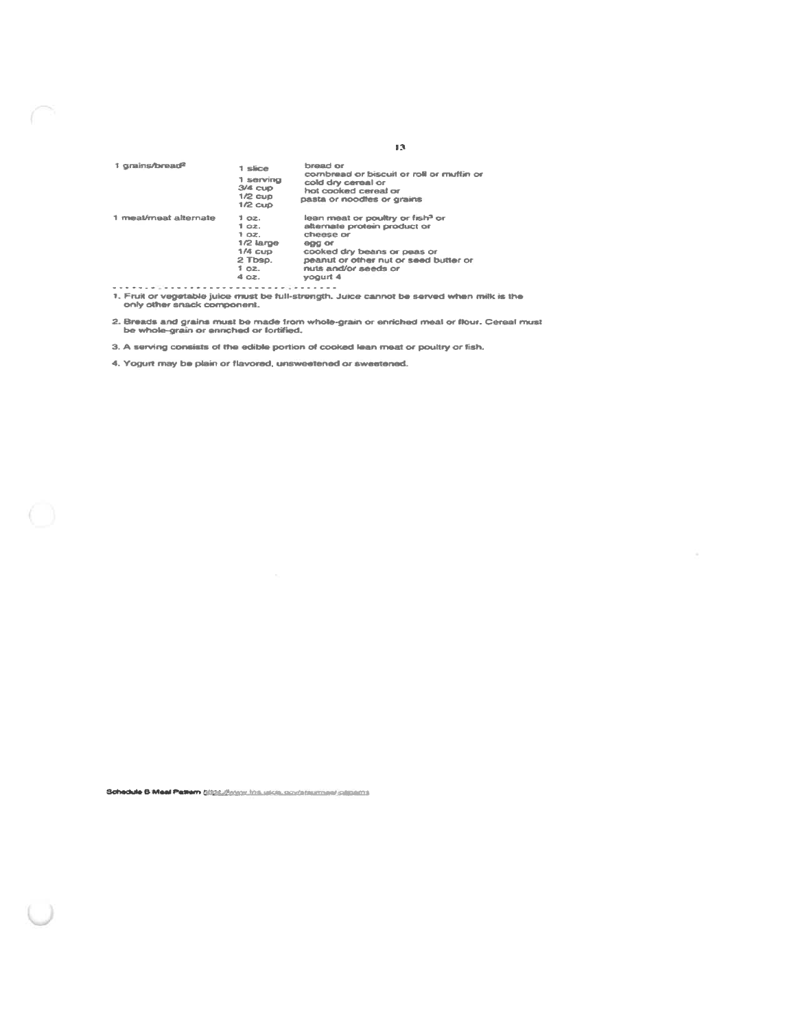| 1 grains/bread <sup>2</sup> | 1 slice<br>1 servina<br>$3/4$ cup<br>$1/2$ cup<br>$1/2$ $CUD$                      | bread or<br>combread or biscuit or roll or multin or<br>cold dry cereal or<br>hot cooked cereal or<br>pasta or noodles or grains                                                                                |
|-----------------------------|------------------------------------------------------------------------------------|-----------------------------------------------------------------------------------------------------------------------------------------------------------------------------------------------------------------|
| 1 meal/meat alternate       | 1 oz.<br>1 oz.<br>1 oz.<br>$1/2$ Large<br>$1/4$ cup<br>2 Tbsp.<br>$1$ oz.<br>4 oz. | lean meat or poultry or fish <sup>3</sup> or<br>alternate protein product or<br>cheese or<br>egg or<br>cooked dry beans or peas or<br>peanut or other nut or seed butter or<br>nuts and/or seeds or<br>voqurt 4 |
| <b>Service</b>              | <b>CONTRACTOR</b>                                                                  |                                                                                                                                                                                                                 |

1. Fruit or vegetable juice must be full-strength. Juice cannot be served when milk is the only other snack component.

2. Breads and grains must be made from whole-grain or enriched meal or flour. Cereal must<br>be whole-grain or enriched or fortified.

3. A serving consists of the edible portion of cooked lean meat or poultry or fish.

4. Yogurt may be plain or flavored, unsweetened or sweetened.

 $\bigcap$ 

Schedule B Meal Patiern E024 (Roocy 104 utils, conditionment satitems

 $13^{\circ}$ 

¥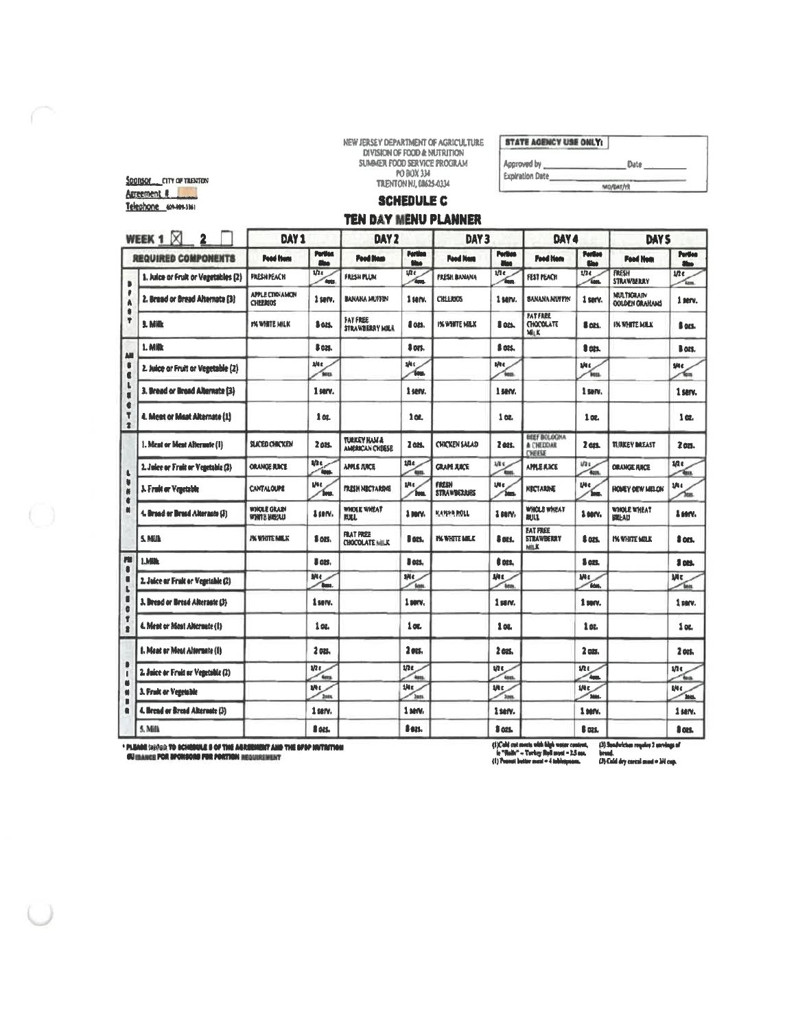NEW JERSEY DEPARTMENT OF AGRICULTURE<br>DIVISION OF FOOD & NUTRITION<br>SUMMER FOOD SERVICE PROGRAM<br>FO BOX 334<br>TRENTON NJ, 08625-0334

STATE AGENCY USE ONLY:

| Approved by<br><b>Expiration Date</b> | <b>Date</b> |
|---------------------------------------|-------------|
|                                       | MO/DAT/YR   |

# **SCHEDULE C**

## TEN DAY MENU PLANNER

|                                    | WEEK 1 $\boxtimes$<br>$\overline{2}$ | DAY <sub>1</sub>                   |                       | DAY <sub>2</sub>                           |                                | DAY <sub>3</sub>            |                              | DAY 4                                                |                                | DAY <sub>S</sub>                           |                   |
|------------------------------------|--------------------------------------|------------------------------------|-----------------------|--------------------------------------------|--------------------------------|-----------------------------|------------------------------|------------------------------------------------------|--------------------------------|--------------------------------------------|-------------------|
|                                    | <b>REQUIRED COMPONENTS</b>           | <b>Pood from</b>                   | Pertica<br><b>She</b> | <b>Pood Home</b>                           | <b>Pertine</b><br><b>Since</b> | <b>Pood Home</b>            | <b>Portion</b><br><b>Man</b> | <b>Food Hom</b>                                      | <b>Portlass</b><br><b>Shop</b> | <b>Pood Hem</b>                            | Portion<br>Ship.  |
| b<br>Ä<br>٠<br>Ÿ                   | 1. Julice or Fruit or Vegetables (2) | <b>FILESH PEACH</b>                | 1/2<br>date           | <b>FRESH PLUM</b>                          | 1/2<br><b>Gene</b>             | <b>FRESH BANANA</b>         | the.<br>í.                   | FEST PEACH                                           | 1/24<br>űм.                    | <b>FRESH</b><br><b>STRAWBERRY</b>          | $1/2$ e<br>Arms   |
|                                    | 2. Bread or Bread Alternate (3)      | APPLE CINNAMON<br><b>CHILLIBOS</b> | 1 serv.               | <b>BANANA MUFFIN</b>                       | $1$ serv.                      | CREEDIAS                    | 1 serv.                      | <b>BANANA MUFFIN</b>                                 | 1 serv.                        | <b>MULTIGRAIN</b><br><b>OGLDEN GRAHAMS</b> | 1 serv.           |
|                                    | 1. Milk                              | YN WHITE MILK                      | \$ oli.               | <b>FAT FREE</b><br><b>STRAWBERRY MILK</b>  | I on                           | <b>I'M WHITE MILK</b>       | 8 on.                        | <b>PATFREE</b><br><b>CHOCOLATE</b><br>MIK            | 8 ozs.                         | <b>IN WHITE MILK</b>                       | ß ors.            |
| AII                                | 1. Milk                              |                                    | S OZS.                |                                            | 3 ors.                         |                             | & OPS.                       |                                                      | 8 nes.                         |                                            | B azt.            |
| ŧ<br>¢<br>$\mathbf{L}$<br>×        | 2. Juice or Fruit or Vegetable (2)   |                                    | alle<br><b>SELL</b>   |                                            | ske.<br><b>Sep</b>             |                             | the.<br><b>Vees</b>          |                                                      | the.<br>len.                   |                                            | sNe.<br>€.        |
|                                    | 3. Bread or Bread Alternate (3)      |                                    | 1 serv.               |                                            | 1 serv.                        |                             | 1 serv.                      |                                                      | 1 serv.                        |                                            | 1 serv.           |
| ¢<br>۳<br>$\overline{\mathbf{z}}$  | 4. Meet or Maat Alternate (1)        |                                    | 102                   |                                            | 102                            |                             | 108                          |                                                      | 102.                           |                                            | 1 <sub>α</sub>    |
| t.<br>٠<br>N<br>¢<br>M<br>ru<br>a  | 1. Ment or Ment Alternate (1)        | <b>SLICED CHICKEN</b>              | 2 ozs.                | <b>TURKEY HAM &amp;</b><br>AMERICAN CHEESE | 2 and                          | <b>CHICKEN SALAD</b>        | 2 ass.                       | <b>BEEF BOLOGNA</b><br><b>A CHEDDAR</b><br>CHEESE    | 2 <sub>0</sub>                 | <b>TURKEY DREAST</b>                       | 2 011.            |
|                                    | 2. Juice or Fruit or Venetable (2)   | <b>ORANGE RICE</b>                 | uh e<br><b>Gua</b>    | <b>APPLE FURCE</b>                         | tite.<br>'en                   | <b>GRAPE XACE</b>           | 1/2<br><b>Test</b>           | <b>APPLE A3CE</b>                                    | 1/2t<br>Test.                  | <b>ORANGE ANCE</b>                         | u.<br>Ťщ          |
|                                    | 3. Fruit or Venetable                | <b>CANTALOUPE</b>                  | Mt.<br><b>Sens</b>    | <b>FRESH NUCTARING</b>                     | the.<br>'hu                    | <b>FRESH</b><br>STRAWBERARS | Ut c<br>Ъm.                  | NBCTARINE                                            | Utc.<br>Ĩю.                    | HOMEY DEW MELON                            | 1/4 c<br>۶m       |
|                                    | 4. Broad or Broad Alternato (3)      | WHOLE GRAIN<br>WHITE HIERU         | 1 serv.               | WHOLE WHEAT<br><b>NXL</b>                  | 1 mm                           | KAYAR ROLL                  | 1 mm                         | WHOLE WHEAT<br><b>RULL</b>                           | 1 serv.                        | WHOLE WHEAT<br><b>BILLAD</b>               | 1 un.             |
|                                    | <b>S. NELL</b>                       | <b><i>PK VANTE MILK</i></b>        | 1 ozt.                | <b>FRAT PREE</b><br><b>CHOCOLATE MILK</b>  | l on.                          | <b>I'VE WHATE MALK</b>      | & nes.                       | <b>EAT FILEE</b><br><b>STRAWBERRY</b><br><b>MILK</b> | 8 ans.                         | <b>I'M WHATE MOLK</b>                      | 8 oct.            |
|                                    | <b>LMIA</b>                          |                                    | 8 025.                |                                            | J ots.                         |                             | 8 pes.                       |                                                      | 8 ozt.                         |                                            | 1 pm              |
| Ō                                  | 2. Juice ar Fruit or Vegetable (2)   |                                    | Mt<br><b>Base</b>     |                                            | sNc.<br><b>Gass</b>            |                             | <b>ME</b><br><b>Teles</b>    |                                                      | Mt<br><b>Gdm</b>               |                                            | Mt<br><b>Test</b> |
| Ű<br>Ġ                             | 3. Bread or Bread Alterante (3)      |                                    | 1 serv.               |                                            | $1$ serv.                      |                             | 1 serv.                      |                                                      | 1 serv.                        |                                            | 1 serv.           |
| Ť<br>ż<br>٠<br>N<br>$\blacksquare$ | 4. Ment or Most Alternate (1)        |                                    | 1 oz.                 |                                            | 1 oc.                          |                             | 1 oz.                        |                                                      | 1 st.                          |                                            | 1 oz.             |
|                                    | 1. Meat or Meat Alternate (1)        |                                    | 2 oz.                 |                                            | 2 ets.                         |                             | 2 ccs.                       |                                                      | 2 ozs.                         |                                            | $2$ ors.          |
|                                    | 2. Juice or Fruit ar Venetable (2)   |                                    | i/te<br>ters          |                                            | 17 <sub>5</sub><br><b>Ass</b>  |                             | tit c<br>Anns.               |                                                      | ine<br><b>Aug.</b>             |                                            | une<br>ĩщ         |
|                                    | 3. Fruit or Veertable                |                                    | i/te<br>2mm           |                                            | the.<br><b>Inn</b>             |                             | the.<br><sup>2001</sup>      |                                                      | iNc.<br><b>Disks</b>           |                                            | 納む<br><b>TANK</b> |
|                                    | 4. Brend or Brend Alternate (3)      |                                    | 1 serv.               |                                            | 1 sarv.                        |                             | 1 serv.                      |                                                      | 1 serv.                        |                                            | 1 serv.           |
|                                    | 5. Milk                              |                                    | 8 025.                |                                            | 8 825.                         |                             | 3 ass.                       |                                                      | <b>B</b> DOL                   |                                            | fi ans.           |

\* PLIADE (HSPS): TO SCHEDULE E OF THE ARREEMENT AND THE SPOP HUTRITION<br>| GUIDANCE POR SPONDORS FOR PORTION REQUIREMENT

 $\begin{array}{l} \{1 \} \text{Cald} \hspace{0.1cm} \text{cut} \hspace{0.1cm} \text{each high water constant}, \\ \text{is ``Nalk''} - \text{"Nerley Ryl input} - 1.5 \hspace{0.1cm} \text{sec.} \\ \{1 \} \hspace{0.1cm} \text{Power better near} \hspace{0.1cm} \text{et a blogique}. \end{array}$ 

(3) Spodwichen require 2 servings of<br>Ierand.<br>(3) Cold dry coreal most = 3N cap.

SOORSOF CITY OF TRENTON Autenment & Telephone (01-991-336)

 $\bigcirc$